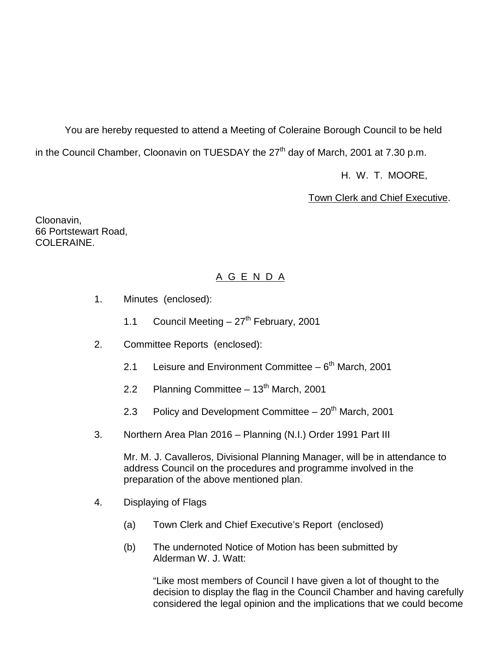You are hereby requested to attend a Meeting of Coleraine Borough Council to be held in the Council Chamber, Cloonavin on TUESDAY the  $27<sup>th</sup>$  day of March, 2001 at 7.30 p.m.

H. W. T. MOORE,

Town Clerk and Chief Executive.

Cloonavin, 66 Portstewart Road, COLERAINE.

# A G E N D A

- 1. Minutes (enclosed):
	- 1.1 Council Meeting  $-27<sup>th</sup>$  February, 2001
- 2. Committee Reports (enclosed):
	- 2.1 Leisure and Environment Committee  $6<sup>th</sup>$  March, 2001
	- 2.2 Planning Committee  $-13<sup>th</sup>$  March, 2001
	- 2.3 Policy and Development Committee  $-20<sup>th</sup>$  March, 2001
- 3. Northern Area Plan 2016 Planning (N.I.) Order 1991 Part III

Mr. M. J. Cavalleros, Divisional Planning Manager, will be in attendance to address Council on the procedures and programme involved in the preparation of the above mentioned plan.

- 4. Displaying of Flags
	- (a) Town Clerk and Chief Executive's Report (enclosed)
	- (b) The undernoted Notice of Motion has been submitted by Alderman W. J. Watt:

"Like most members of Council I have given a lot of thought to the decision to display the flag in the Council Chamber and having carefully considered the legal opinion and the implications that we could become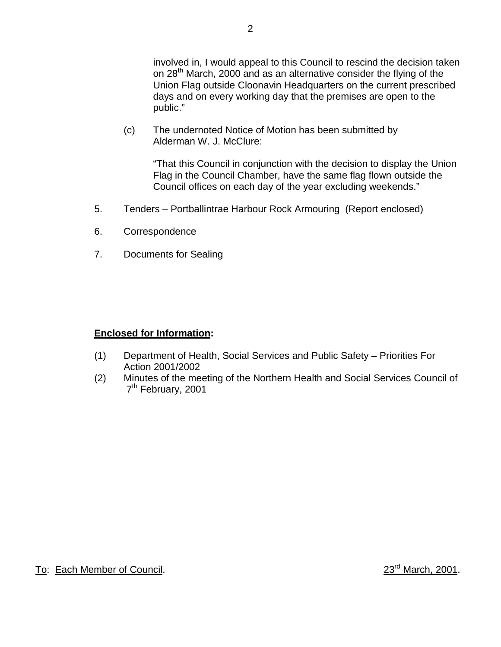involved in, I would appeal to this Council to rescind the decision taken on 28<sup>th</sup> March, 2000 and as an alternative consider the flying of the Union Flag outside Cloonavin Headquarters on the current prescribed days and on every working day that the premises are open to the public."

(c) The undernoted Notice of Motion has been submitted by Alderman W. J. McClure:

> "That this Council in conjunction with the decision to display the Union Flag in the Council Chamber, have the same flag flown outside the Council offices on each day of the year excluding weekends."

- 5. Tenders Portballintrae Harbour Rock Armouring (Report enclosed)
- 6. Correspondence
- 7. Documents for Sealing

# **Enclosed for Information:**

- (1) Department of Health, Social Services and Public Safety Priorities For Action 2001/2002
- (2) Minutes of the meeting of the Northern Health and Social Services Council of 7<sup>th</sup> February, 2001

To: Each Member of Council. 23<sup>rd</sup> March, 2001.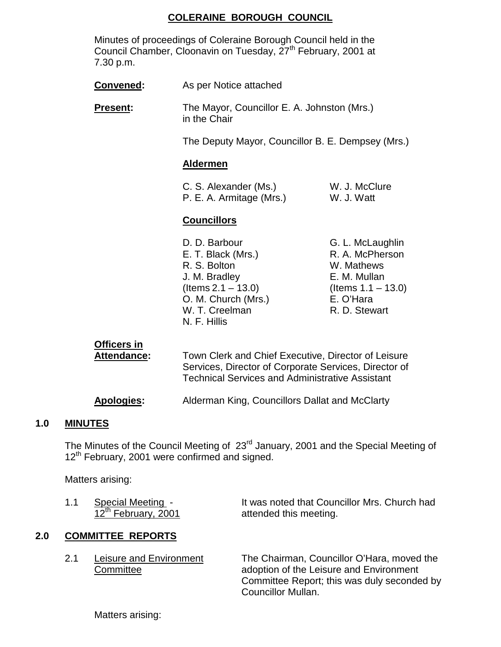# **COLERAINE BOROUGH COUNCIL**

Minutes of proceedings of Coleraine Borough Council held in the Council Chamber, Cloonavin on Tuesday, 27<sup>th</sup> February, 2001 at 7.30 p.m.

| Convened:       | As per Notice attached                                                                                                                 |                                                                                                                          |  |
|-----------------|----------------------------------------------------------------------------------------------------------------------------------------|--------------------------------------------------------------------------------------------------------------------------|--|
| <b>Present:</b> | in the Chair                                                                                                                           | The Mayor, Councillor E. A. Johnston (Mrs.)                                                                              |  |
|                 | The Deputy Mayor, Councillor B. E. Dempsey (Mrs.)                                                                                      |                                                                                                                          |  |
|                 | <b>Aldermen</b>                                                                                                                        |                                                                                                                          |  |
|                 | C. S. Alexander (Ms.)<br>P. E. A. Armitage (Mrs.)                                                                                      | W. J. McClure<br>W. J. Watt                                                                                              |  |
|                 | <b>Councillors</b>                                                                                                                     |                                                                                                                          |  |
|                 | D. D. Barbour<br>E. T. Black (Mrs.)<br>R. S. Bolton<br>J. M. Bradley<br>(Items $2.1 - 13.0$ )<br>O. M. Church (Mrs.)<br>W. T. Creelman | G. L. McLaughlin<br>R. A. McPherson<br>W. Mathews<br>E. M. Mullan<br>(Items $1.1 - 13.0$ )<br>E. O'Hara<br>R. D. Stewart |  |

| <b>Officers in</b><br>Attendance: | Town Clerk and Chief Executive, Director of Leisure<br>Services, Director of Corporate Services, Director of<br><b>Technical Services and Administrative Assistant</b> |
|-----------------------------------|------------------------------------------------------------------------------------------------------------------------------------------------------------------------|
| <b>Apologies:</b>                 | Alderman King, Councillors Dallat and McClarty                                                                                                                         |

N. F. Hillis

# **1.0 MINUTES**

The Minutes of the Council Meeting of 23rd January, 2001 and the Special Meeting of 12<sup>th</sup> February, 2001 were confirmed and signed.

Matters arising:

| 1.1 | Special Meeting -               | It was noted that Councillor Mrs. Church had |
|-----|---------------------------------|----------------------------------------------|
|     | 12 <sup>th</sup> February, 2001 | attended this meeting.                       |

# **2.0 COMMITTEE REPORTS**

2.1 Leisure and Environment The Chairman, Councillor O'Hara, moved the Committee **Committee** adoption of the Leisure and Environment Committee Report; this was duly seconded by Councillor Mullan.

Matters arising: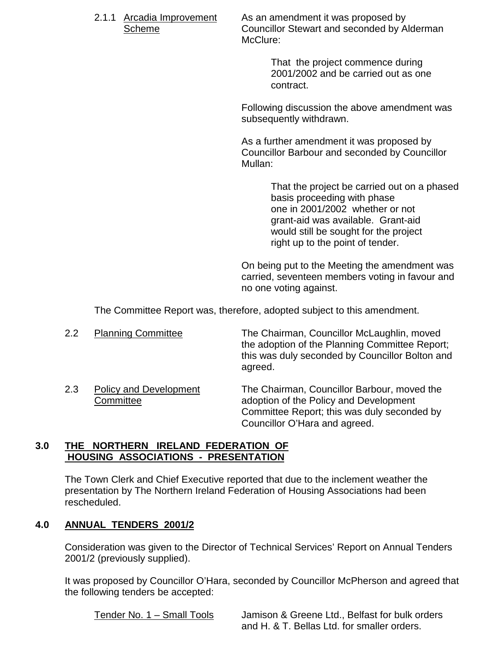2.1.1 Arcadia Improvement As an amendment it was proposed by Scheme **Councillor Stewart and seconded by Alderman** McClure:

> That the project commence during 2001/2002 and be carried out as one contract.

Following discussion the above amendment was subsequently withdrawn.

As a further amendment it was proposed by Councillor Barbour and seconded by Councillor Mullan:

> That the project be carried out on a phased basis proceeding with phase one in 2001/2002 whether or not grant-aid was available. Grant-aid would still be sought for the project right up to the point of tender.

On being put to the Meeting the amendment was carried, seventeen members voting in favour and no one voting against.

The Committee Report was, therefore, adopted subject to this amendment.

| $2.2\,$ | <b>Planning Committee</b>     | The Chairman, Councillor McLaughlin, moved<br>the adoption of the Planning Committee Report;<br>this was duly seconded by Councillor Bolton and<br>agreed. |
|---------|-------------------------------|------------------------------------------------------------------------------------------------------------------------------------------------------------|
| າ າ     | <b>Doliey and Dovelopment</b> | The Chairman, Councillor Barbour, moved the                                                                                                                |

2.3 Policy and Development The Chairman, Councillor Barbour, moved the Committee adoption of the Policy and Development

Committee Report; this was duly seconded by Councillor O'Hara and agreed.

### **3.0 THE NORTHERN IRELAND FEDERATION OF HOUSING ASSOCIATIONS - PRESENTATION**

The Town Clerk and Chief Executive reported that due to the inclement weather the presentation by The Northern Ireland Federation of Housing Associations had been rescheduled.

# **4.0 ANNUAL TENDERS 2001/2**

Consideration was given to the Director of Technical Services' Report on Annual Tenders 2001/2 (previously supplied).

It was proposed by Councillor O'Hara, seconded by Councillor McPherson and agreed that the following tenders be accepted:

Tender No. 1 – Small Tools Jamison & Greene Ltd., Belfast for bulk orders and H. & T. Bellas Ltd. for smaller orders.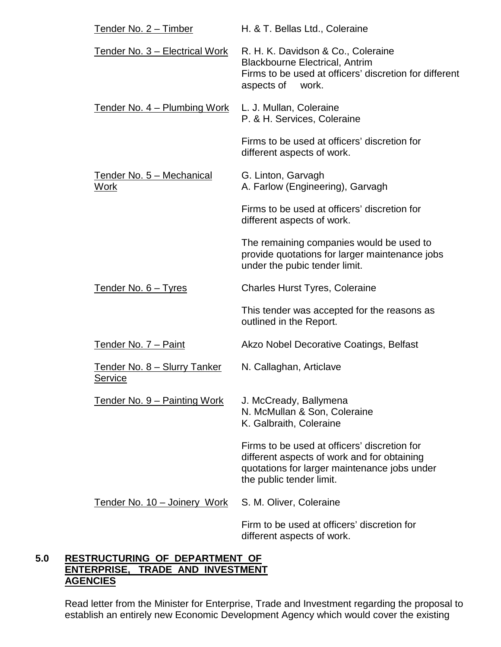| <u>Tender No. 2 – Timber</u>                    | H. & T. Bellas Ltd., Coleraine                                                                                                                                          |
|-------------------------------------------------|-------------------------------------------------------------------------------------------------------------------------------------------------------------------------|
| Tender No. 3 - Electrical Work                  | R. H. K. Davidson & Co., Coleraine<br><b>Blackbourne Electrical, Antrim</b><br>Firms to be used at officers' discretion for different<br>aspects of<br>work.            |
| <u>Tender No. 4 – Plumbing Work</u>             | L. J. Mullan, Coleraine<br>P. & H. Services, Coleraine                                                                                                                  |
|                                                 | Firms to be used at officers' discretion for<br>different aspects of work.                                                                                              |
| <u> Tender No. 5 – Mechanical</u><br>Work       | G. Linton, Garvagh<br>A. Farlow (Engineering), Garvagh                                                                                                                  |
|                                                 | Firms to be used at officers' discretion for<br>different aspects of work.                                                                                              |
|                                                 | The remaining companies would be used to<br>provide quotations for larger maintenance jobs<br>under the pubic tender limit.                                             |
| Tender No. 6 - Tyres                            | <b>Charles Hurst Tyres, Coleraine</b>                                                                                                                                   |
|                                                 | This tender was accepted for the reasons as<br>outlined in the Report.                                                                                                  |
| Tender No. 7 - Paint                            | Akzo Nobel Decorative Coatings, Belfast                                                                                                                                 |
| <u> Tender No. 8 – Slurry Tanker</u><br>Service | N. Callaghan, Articlave                                                                                                                                                 |
| Tender No. 9 - Painting Work                    | J. McCready, Ballymena<br>N. McMullan & Son, Coleraine<br>K. Galbraith, Coleraine                                                                                       |
|                                                 | Firms to be used at officers' discretion for<br>different aspects of work and for obtaining<br>quotations for larger maintenance jobs under<br>the public tender limit. |
| <u>Tender No. 10 - Joinery Work</u>             | S. M. Oliver, Coleraine                                                                                                                                                 |
|                                                 | Firm to be used at officers' discretion for<br>different aspects of work.                                                                                               |

# **5.0 RESTRUCTURING OF DEPARTMENT OF ENTERPRISE, TRADE AND INVESTMENT AGENCIES**

Read letter from the Minister for Enterprise, Trade and Investment regarding the proposal to establish an entirely new Economic Development Agency which would cover the existing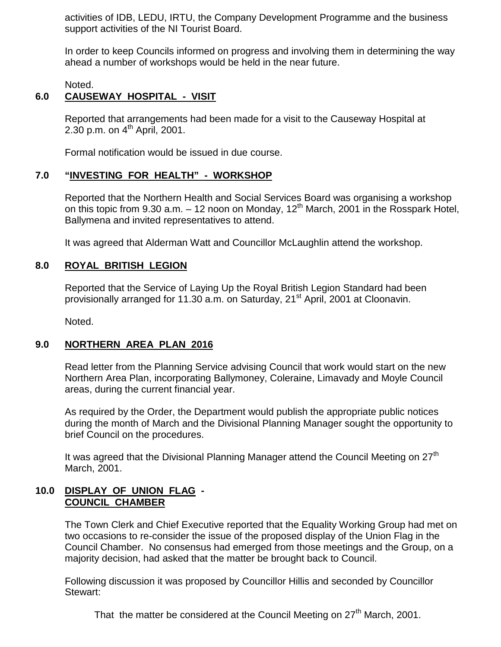activities of IDB, LEDU, IRTU, the Company Development Programme and the business support activities of the NI Tourist Board.

In order to keep Councils informed on progress and involving them in determining the way ahead a number of workshops would be held in the near future.

Noted.

# **6.0 CAUSEWAY HOSPITAL - VISIT**

Reported that arrangements had been made for a visit to the Causeway Hospital at 2.30 p.m. on  $4^{th}$  April, 2001.

Formal notification would be issued in due course.

#### **7.0 "INVESTING FOR HEALTH" - WORKSHOP**

Reported that the Northern Health and Social Services Board was organising a workshop on this topic from 9.30 a.m.  $-$  12 noon on Monday, 12<sup>th</sup> March, 2001 in the Rosspark Hotel, Ballymena and invited representatives to attend.

It was agreed that Alderman Watt and Councillor McLaughlin attend the workshop.

#### **8.0 ROYAL BRITISH LEGION**

Reported that the Service of Laying Up the Royal British Legion Standard had been provisionally arranged for 11.30 a.m. on Saturday, 21<sup>st</sup> April, 2001 at Cloonavin.

Noted.

#### **9.0 NORTHERN AREA PLAN 2016**

Read letter from the Planning Service advising Council that work would start on the new Northern Area Plan, incorporating Ballymoney, Coleraine, Limavady and Moyle Council areas, during the current financial year.

As required by the Order, the Department would publish the appropriate public notices during the month of March and the Divisional Planning Manager sought the opportunity to brief Council on the procedures.

It was agreed that the Divisional Planning Manager attend the Council Meeting on 27<sup>th</sup> March, 2001.

#### **10.0 DISPLAY OF UNION FLAG - COUNCIL CHAMBER**

The Town Clerk and Chief Executive reported that the Equality Working Group had met on two occasions to re-consider the issue of the proposed display of the Union Flag in the Council Chamber. No consensus had emerged from those meetings and the Group, on a majority decision, had asked that the matter be brought back to Council.

Following discussion it was proposed by Councillor Hillis and seconded by Councillor Stewart:

That the matter be considered at the Council Meeting on 27<sup>th</sup> March, 2001.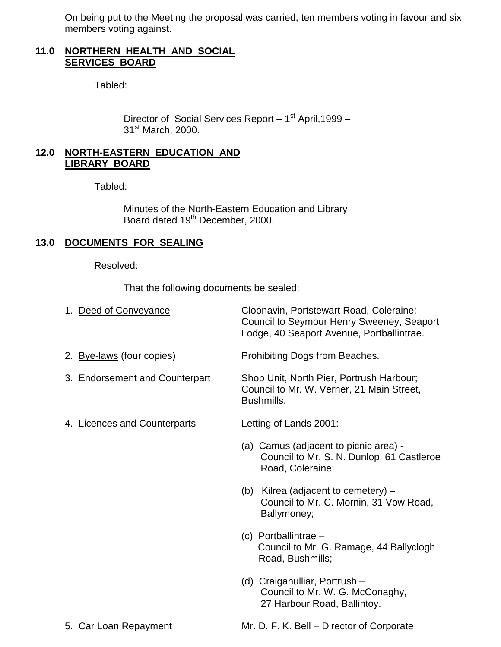On being put to the Meeting the proposal was carried, ten members voting in favour and six members voting against.

### **11.0 NORTHERN HEALTH AND SOCIAL SERVICES BOARD**

Tabled:

Director of Social Services Report - 1<sup>st</sup> April, 1999 -31<sup>st</sup> March, 2000.

### **12.0 NORTH-EASTERN EDUCATION AND LIBRARY BOARD**

Tabled:

Minutes of the North-Eastern Education and Library Board dated 19<sup>th</sup> December, 2000.

# **13.0 DOCUMENTS FOR SEALING**

Resolved:

That the following documents be sealed:

| 1. Deed of Conveyance          | Cloonavin, Portstewart Road, Coleraine;<br>Council to Seymour Henry Sweeney, Seaport<br>Lodge, 40 Seaport Avenue, Portballintrae. |
|--------------------------------|-----------------------------------------------------------------------------------------------------------------------------------|
| 2. Bye-laws (four copies)      | Prohibiting Dogs from Beaches.                                                                                                    |
| 3. Endorsement and Counterpart | Shop Unit, North Pier, Portrush Harbour;<br>Council to Mr. W. Verner, 21 Main Street,<br>Bushmills.                               |
| 4. Licences and Counterparts   | Letting of Lands 2001:                                                                                                            |
|                                | (a) Camus (adjacent to picnic area) -<br>Council to Mr. S. N. Dunlop, 61 Castleroe<br>Road, Coleraine;                            |
|                                | (b) Kilrea (adjacent to cemetery) $-$<br>Council to Mr. C. Mornin, 31 Vow Road,<br>Ballymoney;                                    |
|                                | $(c)$ Portballintrae –<br>Council to Mr. G. Ramage, 44 Ballyclogh<br>Road, Bushmills;                                             |
|                                | (d) Craigahulliar, Portrush -<br>Council to Mr. W. G. McConaghy,<br>27 Harbour Road, Ballintoy.                                   |

5. Car Loan Repayment Mr. D. F. K. Bell – Director of Corporate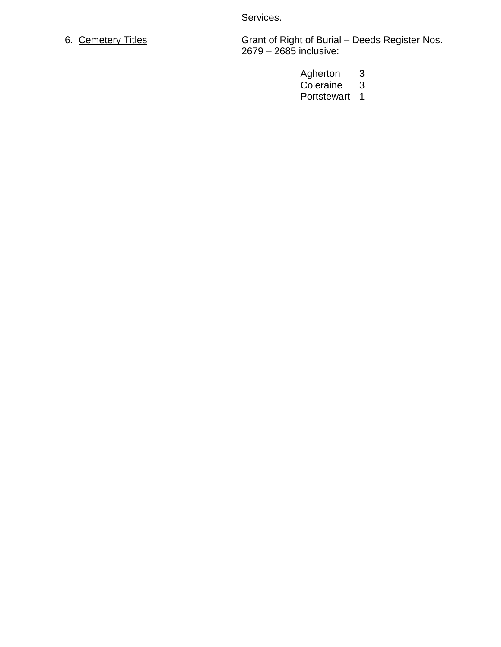Services.

6. Cemetery Titles Grant of Right of Burial – Deeds Register Nos. 2679 – 2685 inclusive:

- Agherton 3
- Coleraine 3
- Portstewart 1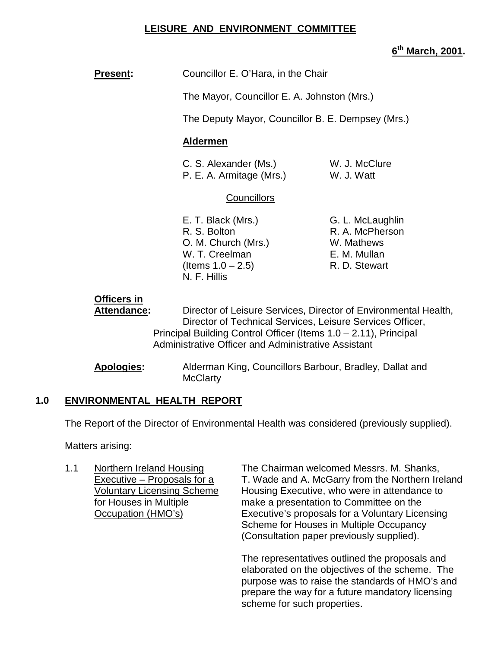# **LEISURE AND ENVIRONMENT COMMITTEE**

# **6th March, 2001.**

**Present:** Councillor E. O'Hara, in the Chair

The Mayor, Councillor E. A. Johnston (Mrs.)

The Deputy Mayor, Councillor B. E. Dempsey (Mrs.)

#### **Aldermen**

| C. S. Alexander (Ms.)    | W. J. McClure |
|--------------------------|---------------|
| P. E. A. Armitage (Mrs.) | W. J. Watt    |

### **Councillors**

- E. T. Black (Mrs.) G. L. McLaughlin R. S. Bolton R. A. McPherson O. M. Church (Mrs.) W. Mathews W. T. Creelman E. M. Mullan  $($ ltems  $1.0 - 2.5)$  R. D. Stewart N. F. Hillis
	-

# **Officers in**

**Attendance:** Director of Leisure Services, Director of Environmental Health, Director of Technical Services, Leisure Services Officer, Principal Building Control Officer (Items 1.0 – 2.11), Principal Administrative Officer and Administrative Assistant

**Apologies:** Alderman King, Councillors Barbour, Bradley, Dallat and **McClarty** 

### **1.0 ENVIRONMENTAL HEALTH REPORT**

The Report of the Director of Environmental Health was considered (previously supplied).

Matters arising:

1.1 Northern Ireland Housing The Chairman welcomed Messrs. M. Shanks, Executive – Proposals for a T. Wade and A. McGarry from the Northern Ireland Voluntary Licensing Scheme Housing Executive, who were in attendance to for Houses in Multiple make a presentation to Committee on the Occupation (HMO's) Executive's proposals for a Voluntary Licensing Scheme for Houses in Multiple Occupancy (Consultation paper previously supplied).

> The representatives outlined the proposals and elaborated on the objectives of the scheme. The purpose was to raise the standards of HMO's and prepare the way for a future mandatory licensing scheme for such properties.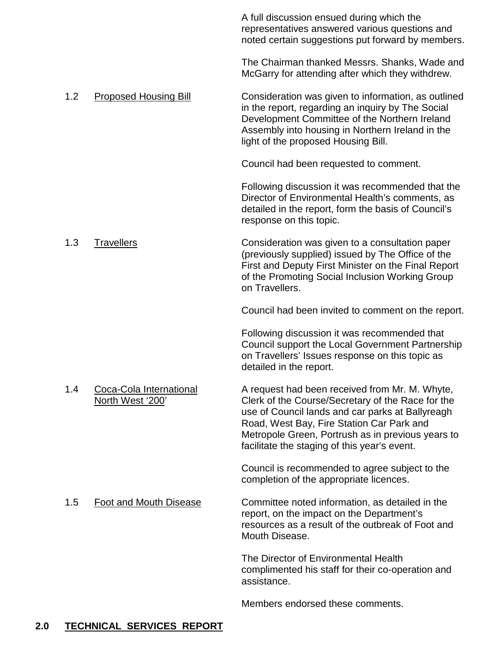|     |                                             | A full discussion ensued during which the<br>representatives answered various questions and<br>noted certain suggestions put forward by members.                                                                                                                                                          |
|-----|---------------------------------------------|-----------------------------------------------------------------------------------------------------------------------------------------------------------------------------------------------------------------------------------------------------------------------------------------------------------|
|     |                                             | The Chairman thanked Messrs. Shanks, Wade and<br>McGarry for attending after which they withdrew.                                                                                                                                                                                                         |
| 1.2 | <b>Proposed Housing Bill</b>                | Consideration was given to information, as outlined<br>in the report, regarding an inquiry by The Social<br>Development Committee of the Northern Ireland<br>Assembly into housing in Northern Ireland in the<br>light of the proposed Housing Bill.                                                      |
|     |                                             | Council had been requested to comment.                                                                                                                                                                                                                                                                    |
|     |                                             | Following discussion it was recommended that the<br>Director of Environmental Health's comments, as<br>detailed in the report, form the basis of Council's<br>response on this topic.                                                                                                                     |
| 1.3 | <b>Travellers</b>                           | Consideration was given to a consultation paper<br>(previously supplied) issued by The Office of the<br>First and Deputy First Minister on the Final Report<br>of the Promoting Social Inclusion Working Group<br>on Travellers.                                                                          |
|     |                                             | Council had been invited to comment on the report.                                                                                                                                                                                                                                                        |
|     |                                             | Following discussion it was recommended that<br>Council support the Local Government Partnership<br>on Travellers' Issues response on this topic as<br>detailed in the report.                                                                                                                            |
| 1.4 | Coca-Cola International<br>North West '200' | A request had been received from Mr. M. Whyte,<br>Clerk of the Course/Secretary of the Race for the<br>use of Council lands and car parks at Ballyreagh<br>Road, West Bay, Fire Station Car Park and<br>Metropole Green, Portrush as in previous years to<br>facilitate the staging of this year's event. |
|     |                                             | Council is recommended to agree subject to the<br>completion of the appropriate licences.                                                                                                                                                                                                                 |
| 1.5 | <b>Foot and Mouth Disease</b>               | Committee noted information, as detailed in the<br>report, on the impact on the Department's<br>resources as a result of the outbreak of Foot and<br>Mouth Disease.                                                                                                                                       |
|     |                                             | The Director of Environmental Health<br>complimented his staff for their co-operation and<br>assistance.                                                                                                                                                                                                  |
|     |                                             | Members endorsed these comments.                                                                                                                                                                                                                                                                          |

# **2.0 TECHNICAL SERVICES REPORT**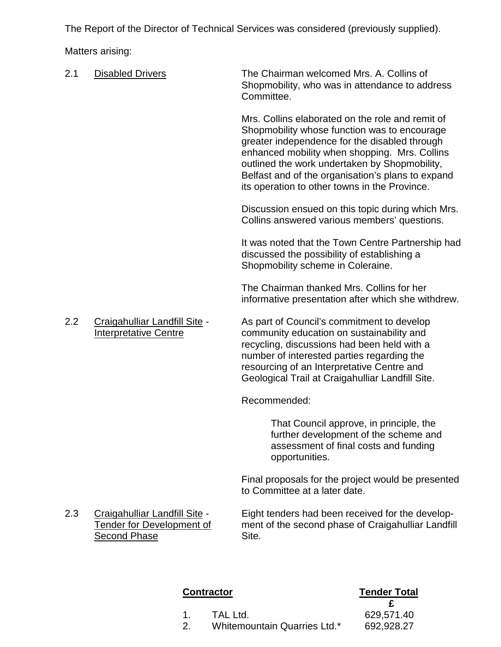The Report of the Director of Technical Services was considered (previously supplied).

Matters arising:

- 2.1 Disabled Drivers The Chairman welcomed Mrs. A. Collins of Shopmobility, who was in attendance to address Committee. Mrs. Collins elaborated on the role and remit of Shopmobility whose function was to encourage greater independence for the disabled through enhanced mobility when shopping. Mrs. Collins outlined the work undertaken by Shopmobility, Belfast and of the organisation's plans to expand its operation to other towns in the Province. Discussion ensued on this topic during which Mrs. Collins answered various members' questions. It was noted that the Town Centre Partnership had discussed the possibility of establishing a Shopmobility scheme in Coleraine. The Chairman thanked Mrs. Collins for her informative presentation after which she withdrew. 2.2 Craigahulliar Landfill Site - As part of Council's commitment to develop Interpretative Centre community education on sustainability and recycling, discussions had been held with a number of interested parties regarding the resourcing of an Interpretative Centre and Geological Trail at Craigahulliar Landfill Site. Recommended: That Council approve, in principle, the further development of the scheme and assessment of final costs and funding opportunities. Final proposals for the project would be presented to Committee at a later date. 2.3 Craigahulliar Landfill Site - Eight tenders had been received for the develop-
- Second Phase Site.

Tender for Development of ment of the second phase of Craigahulliar Landfill

### **Contractor Tender Total**

- 1. TAL Ltd. 629,571.40
- 2. Whitemountain Quarries Ltd.\* 692,928.27
- **£**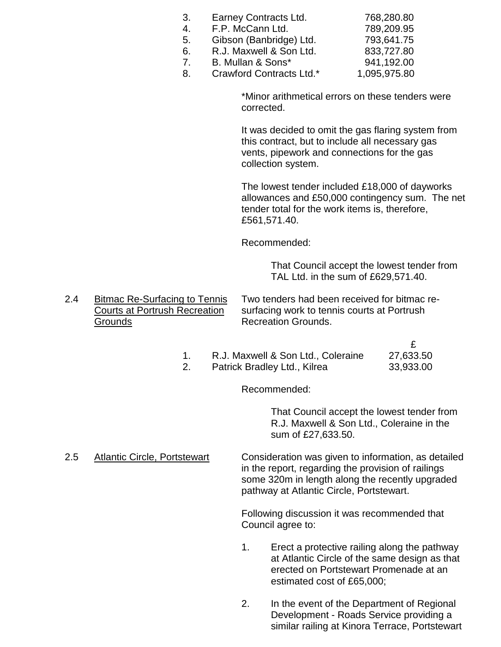| 3.             | Earney Contracts Ltd.   | 768,280.80 |
|----------------|-------------------------|------------|
| 4.             | F.P. McCann Ltd.        | 789,209.95 |
| 5.             | Gibson (Banbridge) Ltd. | 793,641.75 |
| 6.             | R.J. Maxwell & Son Ltd. | 833,727.80 |
| $\overline{7}$ | B. Mullan & Sons*       | 941,192.00 |

8. Crawford Contracts Ltd.\* 1,095,975.80

\*Minor arithmetical errors on these tenders were corrected.

It was decided to omit the gas flaring system from this contract, but to include all necessary gas vents, pipework and connections for the gas collection system.

The lowest tender included £18,000 of dayworks allowances and £50,000 contingency sum. The net tender total for the work items is, therefore, £561,571.40.

Recommended:

That Council accept the lowest tender from TAL Ltd. in the sum of £629,571.40.

2.4 Bitmac Re-Surfacing to Tennis Two tenders had been received for bitmac re-Courts at Portrush Recreation surfacing work to tennis courts at Portrush Grounds **Recreation Grounds**.

> £ 1. R.J. Maxwell & Son Ltd., Coleraine 27,633.50 2. Patrick Bradley Ltd., Kilrea 33,933.00

> > Recommended:

That Council accept the lowest tender from R.J. Maxwell & Son Ltd., Coleraine in the sum of £27,633.50.

2.5 Atlantic Circle, Portstewart Consideration was given to information, as detailed in the report, regarding the provision of railings some 320m in length along the recently upgraded pathway at Atlantic Circle, Portstewart.

> Following discussion it was recommended that Council agree to:

- 1. Erect a protective railing along the pathway at Atlantic Circle of the same design as that erected on Portstewart Promenade at an estimated cost of £65,000;
- 2. In the event of the Department of Regional Development - Roads Service providing a similar railing at Kinora Terrace, Portstewart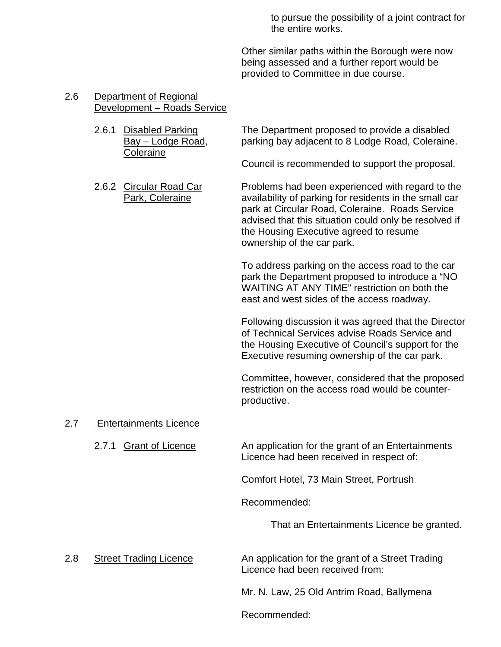to pursue the possibility of a joint contract for the entire works.

Other similar paths within the Borough were now being assessed and a further report would be provided to Committee in due course.

#### 2.6 Department of Regional Development – Roads Service

**Coleraine** 

2.6.1 Disabled Parking The Department proposed to provide a disabled Bay – Lodge Road, parking bay adjacent to 8 Lodge Road, Coleraine.

Council is recommended to support the proposal.

2.6.2 Circular Road Car Problems had been experienced with regard to the Park, Coleraine **availability of parking for residents in the small car** park at Circular Road, Coleraine. Roads Service advised that this situation could only be resolved if the Housing Executive agreed to resume ownership of the car park.

> To address parking on the access road to the car park the Department proposed to introduce a "NO WAITING AT ANY TIME" restriction on both the east and west sides of the access roadway.

Following discussion it was agreed that the Director of Technical Services advise Roads Service and the Housing Executive of Council's support for the Executive resuming ownership of the car park.

Committee, however, considered that the proposed restriction on the access road would be counterproductive.

#### 2.7 Entertainments Licence

2.7.1 Grant of Licence An application for the grant of an Entertainments Licence had been received in respect of:

Comfort Hotel, 73 Main Street, Portrush

Recommended:

That an Entertainments Licence be granted.

2.8 Street Trading Licence An application for the grant of a Street Trading Licence had been received from:

Mr. N. Law, 25 Old Antrim Road, Ballymena

Recommended: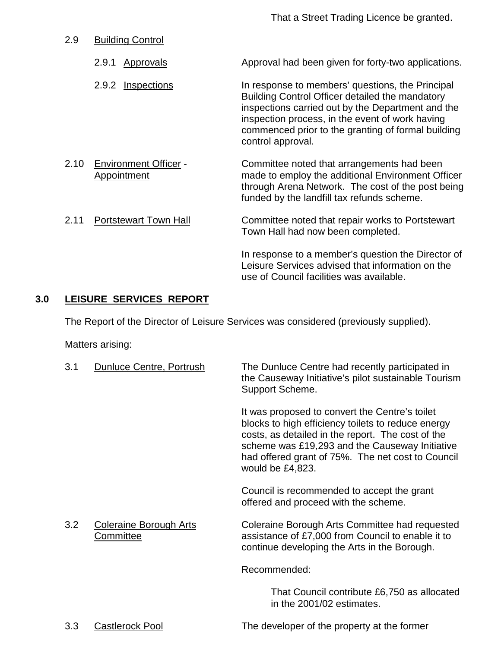That a Street Trading Licence be granted.

- 2.9 Building Control
	- 2.9.1 Approvals Approval had been given for forty-two applications.
	- 2.9.2 Inspections In response to members' questions, the Principal Building Control Officer detailed the mandatory inspections carried out by the Department and the inspection process, in the event of work having commenced prior to the granting of formal building control approval.
- 2.10 Environment Officer Committee noted that arrangements had been Appointment made to employ the additional Environment Officer through Arena Network. The cost of the post being funded by the landfill tax refunds scheme. 2.11 Portstewart Town Hall Committee noted that repair works to Portstewart Town Hall had now been completed.

In response to a member's question the Director of Leisure Services advised that information on the use of Council facilities was available.

# **3.0 LEISURE SERVICES REPORT**

The Report of the Director of Leisure Services was considered (previously supplied).

Matters arising:

| 3.1 | Dunluce Centre, Portrush                   | The Dunluce Centre had recently participated in<br>the Causeway Initiative's pilot sustainable Tourism<br>Support Scheme.                                                                                                                                                            |
|-----|--------------------------------------------|--------------------------------------------------------------------------------------------------------------------------------------------------------------------------------------------------------------------------------------------------------------------------------------|
|     |                                            | It was proposed to convert the Centre's toilet<br>blocks to high efficiency toilets to reduce energy<br>costs, as detailed in the report. The cost of the<br>scheme was £19,293 and the Causeway Initiative<br>had offered grant of 75%. The net cost to Council<br>would be £4,823. |
|     |                                            | Council is recommended to accept the grant<br>offered and proceed with the scheme.                                                                                                                                                                                                   |
| 3.2 | <b>Coleraine Borough Arts</b><br>Committee | Coleraine Borough Arts Committee had requested<br>assistance of £7,000 from Council to enable it to<br>continue developing the Arts in the Borough.                                                                                                                                  |
|     |                                            | Recommended:                                                                                                                                                                                                                                                                         |
|     |                                            | That Council contribute £6,750 as allocated<br>in the 2001/02 estimates.                                                                                                                                                                                                             |

3.3 Castlerock Pool The developer of the property at the former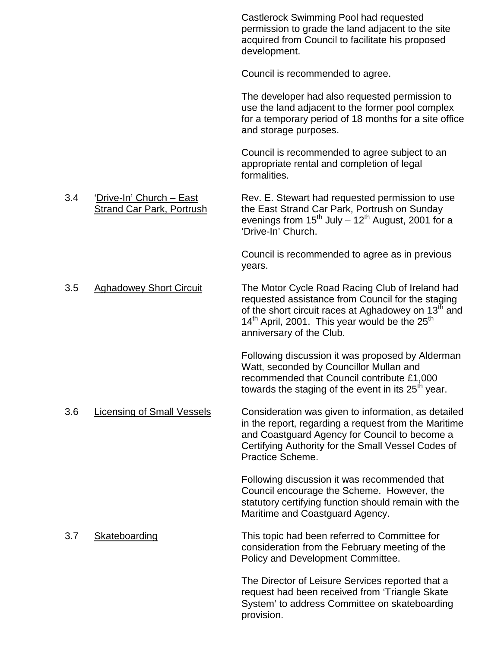Castlerock Swimming Pool had requested permission to grade the land adjacent to the site acquired from Council to facilitate his proposed development.

Council is recommended to agree.

The developer had also requested permission to use the land adjacent to the former pool complex for a temporary period of 18 months for a site office and storage purposes.

Council is recommended to agree subject to an appropriate rental and completion of legal formalities.

3.4 'Drive-In' Church – East Rev. E. Stewart had requested permission to use Strand Car Park, Portrush the East Strand Car Park, Portrush on Sunday evenings from  $15^{th}$  July –  $12^{th}$  August, 2001 for a 'Drive-In' Church.

> Council is recommended to agree as in previous years.

3.5 Aghadowey Short Circuit The Motor Cycle Road Racing Club of Ireland had requested assistance from Council for the staging of the short circuit races at Aghadowey on 13<sup>th</sup> and  $14<sup>th</sup>$  April, 2001. This year would be the 25<sup>th</sup> anniversary of the Club.

> Following discussion it was proposed by Alderman Watt, seconded by Councillor Mullan and recommended that Council contribute £1,000 towards the staging of the event in its  $25<sup>th</sup>$  year.

3.6 Licensing of Small Vessels Consideration was given to information, as detailed in the report, regarding a request from the Maritime and Coastguard Agency for Council to become a Certifying Authority for the Small Vessel Codes of Practice Scheme.

> Following discussion it was recommended that Council encourage the Scheme. However, the statutory certifying function should remain with the Maritime and Coastguard Agency.

3.7 Skateboarding This topic had been referred to Committee for consideration from the February meeting of the Policy and Development Committee.

> The Director of Leisure Services reported that a request had been received from 'Triangle Skate System' to address Committee on skateboarding provision.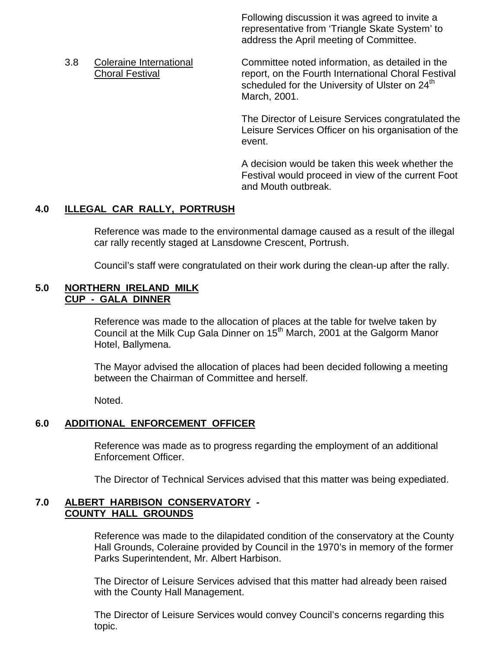Following discussion it was agreed to invite a representative from 'Triangle Skate System' to address the April meeting of Committee.

3.8 Coleraine International Committee noted information, as detailed in the Choral Festival **The Choral Festival report**, on the Fourth International Choral Festival scheduled for the University of Ulster on 24<sup>th</sup> March, 2001.

> The Director of Leisure Services congratulated the Leisure Services Officer on his organisation of the event.

> A decision would be taken this week whether the Festival would proceed in view of the current Foot and Mouth outbreak.

# **4.0 ILLEGAL CAR RALLY, PORTRUSH**

Reference was made to the environmental damage caused as a result of the illegal car rally recently staged at Lansdowne Crescent, Portrush.

Council's staff were congratulated on their work during the clean-up after the rally.

#### **5.0 NORTHERN IRELAND MILK CUP - GALA DINNER**

Reference was made to the allocation of places at the table for twelve taken by Council at the Milk Cup Gala Dinner on 15<sup>th</sup> March, 2001 at the Galgorm Manor Hotel, Ballymena.

The Mayor advised the allocation of places had been decided following a meeting between the Chairman of Committee and herself.

Noted.

### **6.0 ADDITIONAL ENFORCEMENT OFFICER**

Reference was made as to progress regarding the employment of an additional Enforcement Officer.

The Director of Technical Services advised that this matter was being expediated.

#### **7.0 ALBERT HARBISON CONSERVATORY - COUNTY HALL GROUNDS**

Reference was made to the dilapidated condition of the conservatory at the County Hall Grounds, Coleraine provided by Council in the 1970's in memory of the former Parks Superintendent, Mr. Albert Harbison.

The Director of Leisure Services advised that this matter had already been raised with the County Hall Management.

The Director of Leisure Services would convey Council's concerns regarding this topic.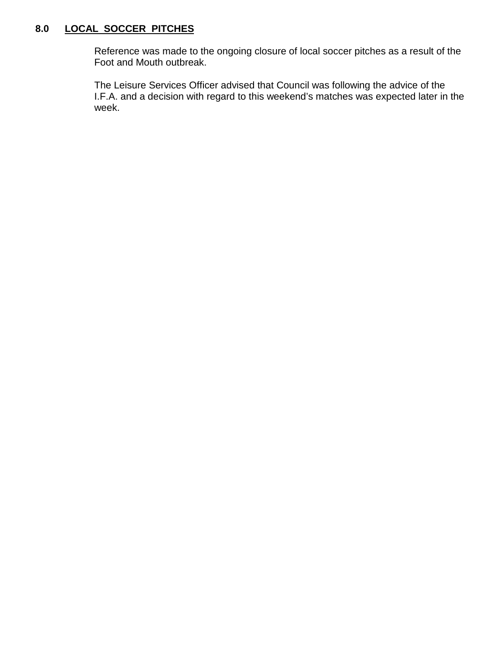# **8.0 LOCAL SOCCER PITCHES**

Reference was made to the ongoing closure of local soccer pitches as a result of the Foot and Mouth outbreak.

The Leisure Services Officer advised that Council was following the advice of the I.F.A. and a decision with regard to this weekend's matches was expected later in the week.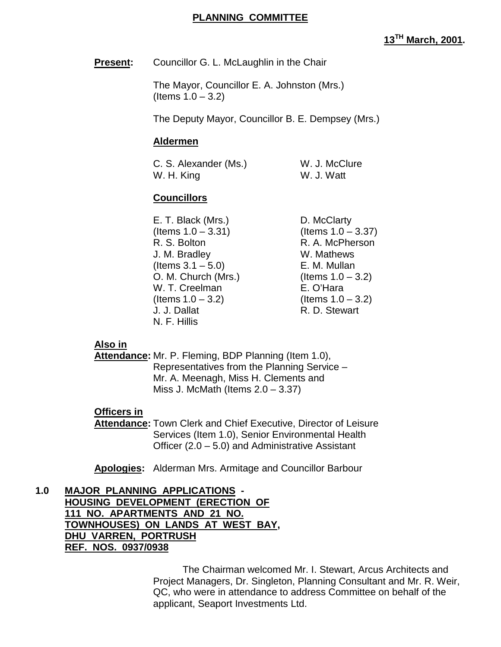#### **PLANNING COMMITTEE**

# **13TH March, 2001.**

**Present:** Councillor G. L. McLaughlin in the Chair

The Mayor, Councillor E. A. Johnston (Mrs.) (Items 1.0 – 3.2)

The Deputy Mayor, Councillor B. E. Dempsey (Mrs.)

#### **Aldermen**

C. S. Alexander (Ms.) W. J. McClure W. H. King W. J. Watt

### **Councillors**

E. T. Black (Mrs.) D. McClarty  $($ ltems  $1.0 - 3.31)$   $($ ltems  $1.0 - 3.37)$ R. S. Bolton R. A. McPherson J. M. Bradley W. Mathews  $($ ltems  $3.1 - 5.0$ ) E. M. Mullan O. M. Church (Mrs.) (Items  $1.0 - 3.2$ ) W. T. Creelman E. O'Hara  $($ ltems  $1.0 - 3.2)$  (Items  $1.0 - 3.2)$ J. J. Dallat R. D. Stewart N. F. Hillis

#### **Also in**

**Attendance:** Mr. P. Fleming, BDP Planning (Item 1.0), Representatives from the Planning Service – Mr. A. Meenagh, Miss H. Clements and Miss J. McMath (Items  $2.0 - 3.37$ )

#### **Officers in**

**Attendance:** Town Clerk and Chief Executive, Director of Leisure Services (Item 1.0), Senior Environmental Health Officer (2.0 – 5.0) and Administrative Assistant

**Apologies:** Alderman Mrs. Armitage and Councillor Barbour

**1.0 MAJOR PLANNING APPLICATIONS - HOUSING DEVELOPMENT (ERECTION OF 111 NO. APARTMENTS AND 21 NO. TOWNHOUSES) ON LANDS AT WEST BAY, DHU VARREN, PORTRUSH REF. NOS. 0937/0938**

> The Chairman welcomed Mr. I. Stewart, Arcus Architects and Project Managers, Dr. Singleton, Planning Consultant and Mr. R. Weir, QC, who were in attendance to address Committee on behalf of the applicant, Seaport Investments Ltd.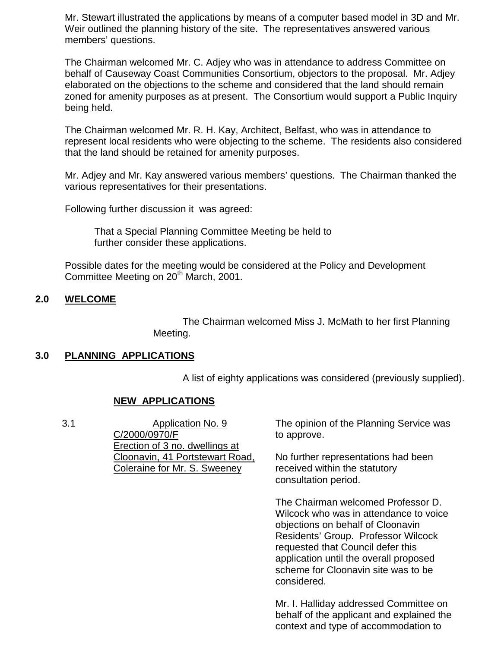Mr. Stewart illustrated the applications by means of a computer based model in 3D and Mr. Weir outlined the planning history of the site. The representatives answered various members' questions.

The Chairman welcomed Mr. C. Adjey who was in attendance to address Committee on behalf of Causeway Coast Communities Consortium, objectors to the proposal. Mr. Adjey elaborated on the objections to the scheme and considered that the land should remain zoned for amenity purposes as at present. The Consortium would support a Public Inquiry being held.

The Chairman welcomed Mr. R. H. Kay, Architect, Belfast, who was in attendance to represent local residents who were objecting to the scheme. The residents also considered that the land should be retained for amenity purposes.

Mr. Adjey and Mr. Kay answered various members' questions. The Chairman thanked the various representatives for their presentations.

Following further discussion it was agreed:

That a Special Planning Committee Meeting be held to further consider these applications.

Possible dates for the meeting would be considered at the Policy and Development Committee Meeting on 20<sup>th</sup> March, 2001.

### **2.0 WELCOME**

The Chairman welcomed Miss J. McMath to her first Planning Meeting.

### **3.0 PLANNING APPLICATIONS**

A list of eighty applications was considered (previously supplied).

### **NEW APPLICATIONS**

3.1 Application No. 9 C/2000/0970/F Erection of 3 no. dwellings at Cloonavin, 41 Portstewart Road, Coleraine for Mr. S. Sweeney The opinion of the Planning Service was to approve. No further representations had been received within the statutory consultation period. The Chairman welcomed Professor D.

Wilcock who was in attendance to voice objections on behalf of Cloonavin Residents' Group. Professor Wilcock requested that Council defer this application until the overall proposed scheme for Cloonavin site was to be considered.

Mr. I. Halliday addressed Committee on behalf of the applicant and explained the context and type of accommodation to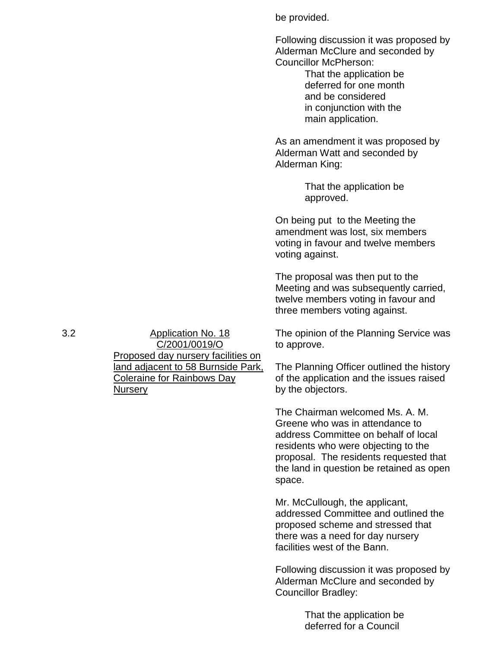|     |                                                                                                  | be provided.                                                                                                                                                                                                                                      |
|-----|--------------------------------------------------------------------------------------------------|---------------------------------------------------------------------------------------------------------------------------------------------------------------------------------------------------------------------------------------------------|
|     |                                                                                                  | Following discussion it was proposed by<br>Alderman McClure and seconded by<br><b>Councillor McPherson:</b><br>That the application be<br>deferred for one month<br>and be considered<br>in conjunction with the<br>main application.             |
|     |                                                                                                  | As an amendment it was proposed by<br>Alderman Watt and seconded by<br>Alderman King:                                                                                                                                                             |
|     |                                                                                                  | That the application be<br>approved.                                                                                                                                                                                                              |
|     |                                                                                                  | On being put to the Meeting the<br>amendment was lost, six members<br>voting in favour and twelve members<br>voting against.                                                                                                                      |
|     |                                                                                                  | The proposal was then put to the<br>Meeting and was subsequently carried,<br>twelve members voting in favour and<br>three members voting against.                                                                                                 |
| 3.2 | <b>Application No. 18</b><br>C/2001/0019/O<br>Proposed day nursery facilities on                 | The opinion of the Planning Service was<br>to approve.                                                                                                                                                                                            |
|     | <u>land adjacent to 58 Burnside Park,</u><br><b>Coleraine for Rainbows Day</b><br><b>Nursery</b> | The Planning Officer outlined the history<br>of the application and the issues raised<br>by the objectors.                                                                                                                                        |
|     |                                                                                                  | The Chairman welcomed Ms. A. M.<br>Greene who was in attendance to<br>address Committee on behalf of local<br>residents who were objecting to the<br>proposal. The residents requested that<br>the land in question be retained as open<br>space. |
|     |                                                                                                  | Mr. McCullough, the applicant,<br>addressed Committee and outlined the<br>proposed scheme and stressed that<br>there was a need for day nursery<br>facilities west of the Bann.                                                                   |
|     |                                                                                                  | Following discussion it was proposed by<br>Alderman McClure and seconded by<br><b>Councillor Bradley:</b>                                                                                                                                         |
|     |                                                                                                  | That the application be                                                                                                                                                                                                                           |

deferred for a Council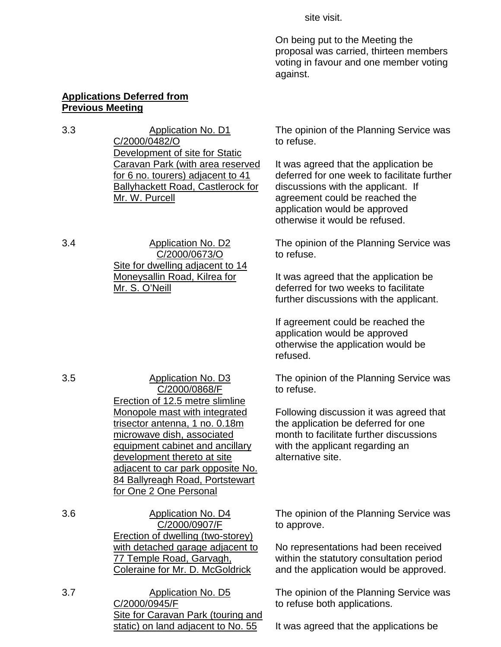site visit.

On being put to the Meeting the proposal was carried, thirteen members voting in favour and one member voting against.

#### **Applications Deferred from Previous Meeting**

3.3 Application No. D1 C/2000/0482/O Development of site for Static Caravan Park (with area reserved for 6 no. tourers) adjacent to 41 Ballyhackett Road, Castlerock for Mr. W. Purcell

3.4 Application No. D2 C/2000/0673/O Site for dwelling adjacent to 14 Moneysallin Road, Kilrea for Mr. S. O'Neill

3.5 Application No. D3 C/2000/0868/F Erection of 12.5 metre slimline Monopole mast with integrated trisector antenna, 1 no. 0.18m microwave dish, associated equipment cabinet and ancillary development thereto at site adjacent to car park opposite No. 84 Ballyreagh Road, Portstewart for One 2 One Personal

- 3.6 Application No. D4 C/2000/0907/F Erection of dwelling (two-storey) with detached garage adjacent to 77 Temple Road, Garvagh, Coleraine for Mr. D. McGoldrick
- 3.7 Application No. D5 C/2000/0945/F Site for Caravan Park (touring and static) on land adjacent to No. 55

The opinion of the Planning Service was to refuse.

It was agreed that the application be deferred for one week to facilitate further discussions with the applicant. If agreement could be reached the application would be approved otherwise it would be refused.

The opinion of the Planning Service was to refuse.

It was agreed that the application be deferred for two weeks to facilitate further discussions with the applicant.

If agreement could be reached the application would be approved otherwise the application would be refused.

The opinion of the Planning Service was to refuse.

Following discussion it was agreed that the application be deferred for one month to facilitate further discussions with the applicant regarding an alternative site.

The opinion of the Planning Service was to approve.

No representations had been received within the statutory consultation period and the application would be approved.

The opinion of the Planning Service was to refuse both applications.

It was agreed that the applications be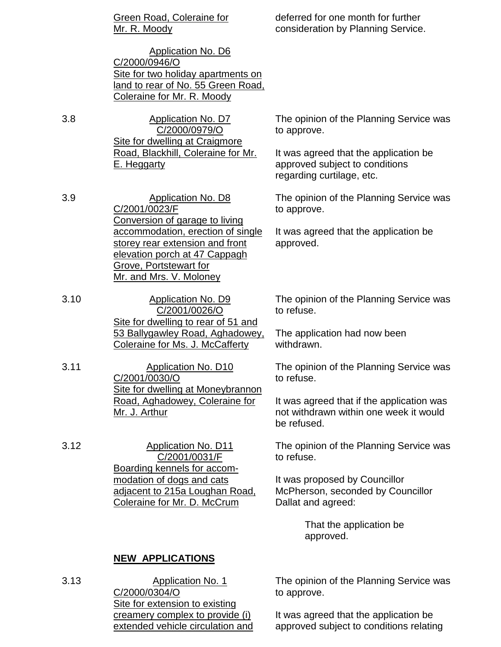|      | <b>Green Road, Coleraine for</b><br>Mr. R. Moody                                                                                                                                                    | deferred for one month for further<br>consideration by Planning Service.                             |
|------|-----------------------------------------------------------------------------------------------------------------------------------------------------------------------------------------------------|------------------------------------------------------------------------------------------------------|
|      | <b>Application No. D6</b><br>C/2000/0946/O<br>Site for two holiday apartments on<br>land to rear of No. 55 Green Road,<br>Coleraine for Mr. R. Moody                                                |                                                                                                      |
| 3.8  | <b>Application No. D7</b><br>C/2000/0979/O                                                                                                                                                          | The opinion of the Planning Service was<br>to approve.                                               |
|      | Site for dwelling at Craigmore<br>Road, Blackhill, Coleraine for Mr.<br>E. Heggarty                                                                                                                 | It was agreed that the application be<br>approved subject to conditions<br>regarding curtilage, etc. |
| 3.9  | <b>Application No. D8</b><br>C/2001/0023/F                                                                                                                                                          | The opinion of the Planning Service was<br>to approve.                                               |
|      | Conversion of garage to living<br>accommodation, erection of single<br>storey rear extension and front<br>elevation porch at 47 Cappagh<br><b>Grove, Portstewart for</b><br>Mr. and Mrs. V. Moloney | It was agreed that the application be<br>approved.                                                   |
| 3.10 | <b>Application No. D9</b><br>C/2001/0026/O                                                                                                                                                          | The opinion of the Planning Service was<br>to refuse.                                                |
|      | Site for dwelling to rear of 51 and<br>53 Ballygawley Road, Aghadowey,<br>Coleraine for Ms. J. McCafferty                                                                                           | The application had now been<br>withdrawn.                                                           |
| 3.11 | <b>Application No. D10</b><br>C/2001/0030/O                                                                                                                                                         | The opinion of the Planning Service was<br>to refuse.                                                |
|      | Site for dwelling at Moneybrannon<br>Road, Aghadowey, Coleraine for<br>Mr. J. Arthur                                                                                                                | It was agreed that if the application was<br>not withdrawn within one week it would<br>be refused.   |
| 3.12 | <b>Application No. D11</b><br>C/2001/0031/F                                                                                                                                                         | The opinion of the Planning Service was<br>to refuse.                                                |
|      | Boarding kennels for accom-<br>modation of dogs and cats<br>adjacent to 215a Loughan Road,<br><b>Coleraine for Mr. D. McCrum</b>                                                                    | It was proposed by Councillor<br>McPherson, seconded by Councillor<br>Dallat and agreed:             |
|      |                                                                                                                                                                                                     | That the application be<br>approved.                                                                 |

# **NEW APPLICATIONS**

3.13 Application No. 1 C/2000/0304/O **Site for extension to existing** creamery complex to provide (i) extended vehicle circulation and The opinion of the Planning Service was to approve.

It was agreed that the application be approved subject to conditions relating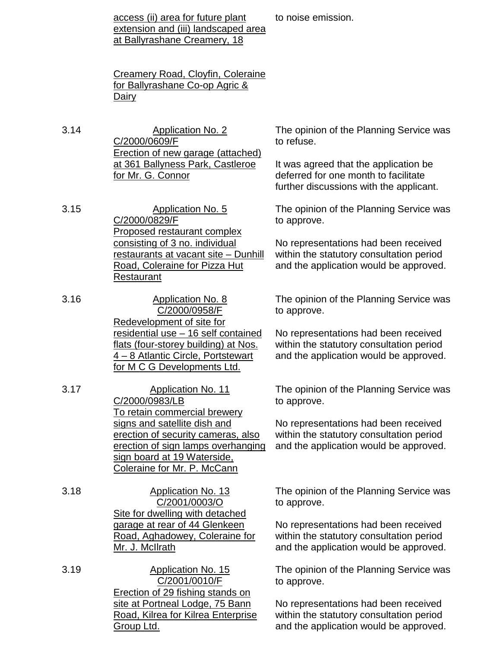access (ii) area for future plant extension and (iii) landscaped area at Ballyrashane Creamery, 18

to noise emission.

Creamery Road, Cloyfin, Coleraine for Ballyrashane Co-op Agric & Dairy

- 3.14 Application No. 2 C/2000/0609/F Erection of new garage (attached) at 361 Ballyness Park, Castleroe for Mr. G. Connor
- 3.15 Application No. 5 C/2000/0829/F Proposed restaurant complex consisting of 3 no. individual restaurants at vacant site – Dunhill Road, Coleraine for Pizza Hut Restaurant
- 3.16 Application No. 8 C/2000/0958/F Redevelopment of site for residential use – 16 self contained flats (four-storey building) at Nos. 4 – 8 Atlantic Circle, Portstewart for M C G Developments Ltd.
- 3.17 Application No. 11 C/2000/0983/LB To retain commercial brewery signs and satellite dish and erection of security cameras, also erection of sign lamps overhanging sign board at 19 Waterside, Coleraine for Mr. P. McCann
- 3.18 Application No. 13 C/2001/0003/O Site for dwelling with detached garage at rear of 44 Glenkeen Road, Aghadowey, Coleraine for Mr. J. McIlrath
- 3.19 Application No. 15 C/2001/0010/F Erection of 29 fishing stands on site at Portneal Lodge, 75 Bann Road, Kilrea for Kilrea Enterprise Group Ltd.

The opinion of the Planning Service was to refuse.

It was agreed that the application be deferred for one month to facilitate further discussions with the applicant.

The opinion of the Planning Service was to approve.

No representations had been received within the statutory consultation period and the application would be approved.

The opinion of the Planning Service was to approve.

No representations had been received within the statutory consultation period and the application would be approved.

The opinion of the Planning Service was to approve.

No representations had been received within the statutory consultation period and the application would be approved.

The opinion of the Planning Service was to approve.

No representations had been received within the statutory consultation period and the application would be approved.

The opinion of the Planning Service was to approve.

No representations had been received within the statutory consultation period and the application would be approved.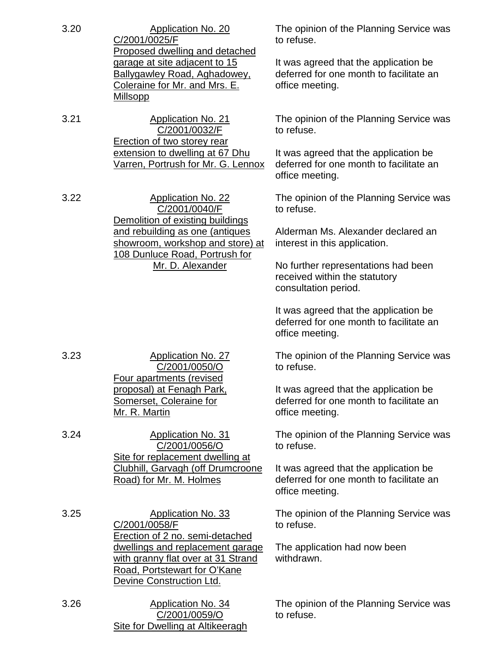| 3.20 | <b>Application No. 20</b><br>C/2001/0025/F<br>Proposed dwelling and detached                                                       | The opinion of the Planning Service was<br>to refuse.                                               |  |
|------|------------------------------------------------------------------------------------------------------------------------------------|-----------------------------------------------------------------------------------------------------|--|
|      | garage at site adjacent to 15<br><b>Ballygawley Road, Aghadowey,</b><br>Coleraine for Mr. and Mrs. E.<br><b>Millsopp</b>           | It was agreed that the application be<br>deferred for one month to facilitate an<br>office meeting. |  |
| 3.21 | <b>Application No. 21</b><br>C/2001/0032/F<br>Erection of two storey rear                                                          | The opinion of the Planning Service was<br>to refuse.                                               |  |
|      | extension to dwelling at 67 Dhu<br>Varren, Portrush for Mr. G. Lennox                                                              | It was agreed that the application be<br>deferred for one month to facilitate an<br>office meeting. |  |
| 3.22 | <b>Application No. 22</b><br>C/2001/0040/F<br>Demolition of existing buildings                                                     | The opinion of the Planning Service was<br>to refuse.                                               |  |
|      | and rebuilding as one (antiques<br>showroom, workshop and store) at<br>108 Dunluce Road, Portrush for<br>Mr. D. Alexander          | Alderman Ms. Alexander declared an<br>interest in this application.                                 |  |
|      |                                                                                                                                    | No further representations had been<br>received within the statutory<br>consultation period.        |  |
|      |                                                                                                                                    | It was agreed that the application be<br>deferred for one month to facilitate an<br>office meeting. |  |
| 3.23 | <b>Application No. 27</b><br>C/2001/0050/O<br>Four apartments (revised                                                             | The opinion of the Planning Service was<br>to refuse.                                               |  |
|      | proposal) at Fenagh Park,<br>Somerset, Coleraine for<br>Mr. R. Martin                                                              | It was agreed that the application be<br>deferred for one month to facilitate an<br>office meeting. |  |
| 3.24 | <b>Application No. 31</b><br>C/2001/0056/O<br>Site for replacement dwelling at                                                     | The opinion of the Planning Service was<br>to refuse.                                               |  |
|      | Clubhill, Garvagh (off Drumcroone<br>Road) for Mr. M. Holmes                                                                       | It was agreed that the application be<br>deferred for one month to facilitate an<br>office meeting. |  |
| 3.25 | <b>Application No. 33</b><br>C/2001/0058/F<br>Erection of 2 no. semi-detached                                                      | The opinion of the Planning Service was<br>to refuse.                                               |  |
|      | dwellings and replacement garage<br>with granny flat over at 31 Strand<br>Road, Portstewart for O'Kane<br>Devine Construction Ltd. | The application had now been<br>withdrawn.                                                          |  |
| 3.26 | <b>Application No. 34</b><br>C/2001/0059/O<br><b>Site for Dwelling at Altikeeragh</b>                                              | The opinion of the Planning Service was<br>to refuse.                                               |  |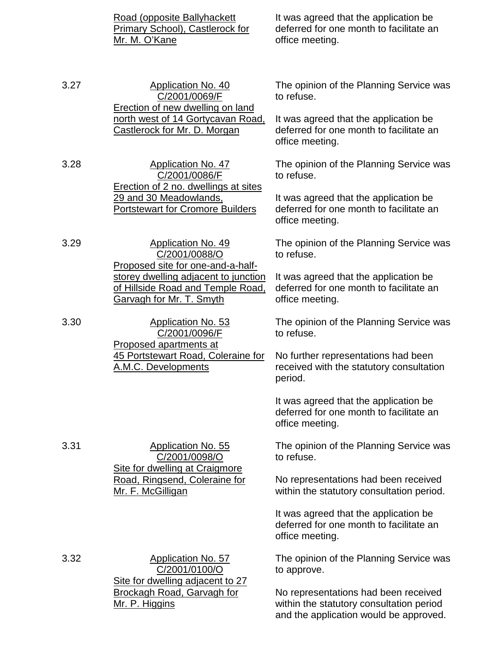Road (opposite Ballyhackett Primary School), Castlerock for Mr. M. O'Kane It was agreed that the application be deferred for one month to facilitate an office meeting. 3.27 Application No. 40 C/2001/0069/F Erection of new dwelling on land north west of 14 Gortycavan Road, Castlerock for Mr. D. Morgan The opinion of the Planning Service was to refuse. It was agreed that the application be deferred for one month to facilitate an office meeting. 3.28 Application No. 47 C/2001/0086/F Erection of 2 no. dwellings at sites 29 and 30 Meadowlands, Portstewart for Cromore Builders The opinion of the Planning Service was to refuse. It was agreed that the application be deferred for one month to facilitate an office meeting. 3.29 Application No. 49 C/2001/0088/O Proposed site for one-and-a-halfstorey dwelling adjacent to junction of Hillside Road and Temple Road, Garvagh for Mr. T. Smyth The opinion of the Planning Service was to refuse. It was agreed that the application be deferred for one month to facilitate an office meeting. 3.30 Application No. 53 C/2001/0096/F Proposed apartments at **45 Portstewart Road, Coleraine for** A.M.C. Developments The opinion of the Planning Service was to refuse. No further representations had been received with the statutory consultation period. It was agreed that the application be deferred for one month to facilitate an office meeting. 3.31 Application No. 55 C/2001/0098/O Site for dwelling at Craigmore Road, Ringsend, Coleraine for Mr. F. McGilligan The opinion of the Planning Service was to refuse. No representations had been received within the statutory consultation period. It was agreed that the application be deferred for one month to facilitate an office meeting. 3.32 Application No. 57 C/2001/0100/O Site for dwelling adjacent to 27 Brockagh Road, Garvagh for Mr. P. Higgins The opinion of the Planning Service was to approve. No representations had been received within the statutory consultation period and the application would be approved.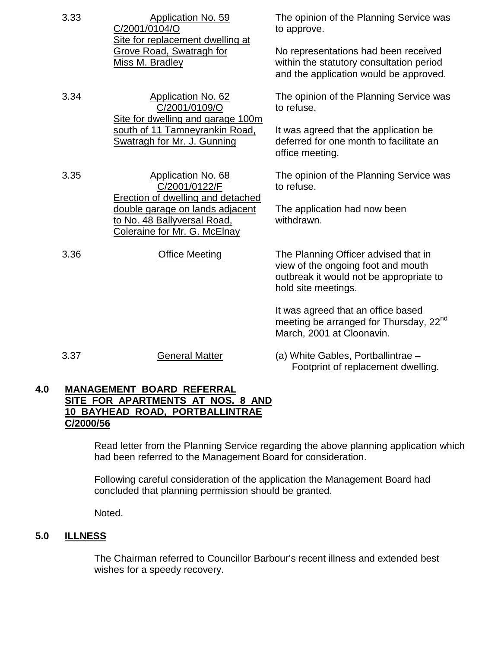| 3.33 | <b>Application No. 59</b><br>C/2001/0104/O<br>Site for replacement dwelling at<br><b>Grove Road, Swatragh for</b><br>Miss M. Bradley             | The opinion of the Planning Service was<br>to approve.                                                                                       |
|------|--------------------------------------------------------------------------------------------------------------------------------------------------|----------------------------------------------------------------------------------------------------------------------------------------------|
|      |                                                                                                                                                  | No representations had been received<br>within the statutory consultation period<br>and the application would be approved.                   |
| 3.34 | <b>Application No. 62</b><br>C/2001/0109/O<br>Site for dwelling and garage 100m<br>south of 11 Tamneyrankin Road,<br>Swatragh for Mr. J. Gunning | The opinion of the Planning Service was<br>to refuse.                                                                                        |
|      |                                                                                                                                                  | It was agreed that the application be<br>deferred for one month to facilitate an<br>office meeting.                                          |
| 3.35 | <b>Application No. 68</b><br>C/2001/0122/F                                                                                                       | The opinion of the Planning Service was<br>to refuse.                                                                                        |
|      | <b>Erection of dwelling and detached</b><br>double garage on lands adjacent<br>to No. 48 Ballyversal Road,<br>Coleraine for Mr. G. McElnay       | The application had now been<br>withdrawn.                                                                                                   |
| 3.36 | <b>Office Meeting</b>                                                                                                                            | The Planning Officer advised that in<br>view of the ongoing foot and mouth<br>outbreak it would not be appropriate to<br>hold site meetings. |
|      |                                                                                                                                                  | It was agreed that an office based<br>meeting be arranged for Thursday, 22 <sup>nd</sup><br>March, 2001 at Cloonavin.                        |
| 3.37 | <b>General Matter</b>                                                                                                                            | (a) White Gables, Portballintrae -<br>Footprint of replacement dwelling.                                                                     |

#### **4.0 MANAGEMENT BOARD REFERRAL SITE FOR APARTMENTS AT NOS. 8 AND 10 BAYHEAD ROAD, PORTBALLINTRAE C/2000/56**

Read letter from the Planning Service regarding the above planning application which had been referred to the Management Board for consideration.

Following careful consideration of the application the Management Board had concluded that planning permission should be granted.

Noted.

# **5.0 ILLNESS**

The Chairman referred to Councillor Barbour's recent illness and extended best wishes for a speedy recovery.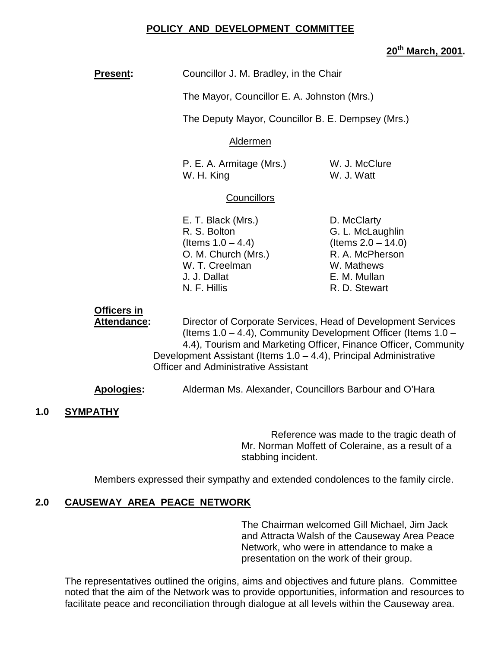### **POLICY AND DEVELOPMENT COMMITTEE**

## **20th March, 2001.**

| <b>Present:</b> | Councillor J. M. Bradley, in the Chair |
|-----------------|----------------------------------------|
|-----------------|----------------------------------------|

The Mayor, Councillor E. A. Johnston (Mrs.)

The Deputy Mayor, Councillor B. E. Dempsey (Mrs.)

#### Aldermen

P. E. A. Armitage (Mrs.) W. J. McClure W. H. King W. J. Watt

### **Councillors**

- E. T. Black (Mrs.) D. McClarty R. S. Bolton G. L. McLaughlin  $($ ltems  $1.0 - 4.4)$  (Items  $2.0 - 14.0)$ O. M. Church (Mrs.) R. A. McPherson W. T. Creelman W. Mathews J. J. Dallat E. M. Mullan N. F. Hillis R. D. Stewart
- 

# **Officers in**

**Attendance:** Director of Corporate Services, Head of Development Services (Items 1.0 – 4.4), Community Development Officer (Items 1.0 – 4.4), Tourism and Marketing Officer, Finance Officer, Community Development Assistant (Items 1.0 – 4.4), Principal Administrative Officer and Administrative Assistant

**Apologies:** Alderman Ms. Alexander, Councillors Barbour and O'Hara

### **1.0 SYMPATHY**

Reference was made to the tragic death of Mr. Norman Moffett of Coleraine, as a result of a stabbing incident.

Members expressed their sympathy and extended condolences to the family circle.

### **2.0 CAUSEWAY AREA PEACE NETWORK**

The Chairman welcomed Gill Michael, Jim Jack and Attracta Walsh of the Causeway Area Peace Network, who were in attendance to make a presentation on the work of their group.

The representatives outlined the origins, aims and objectives and future plans. Committee noted that the aim of the Network was to provide opportunities, information and resources to facilitate peace and reconciliation through dialogue at all levels within the Causeway area.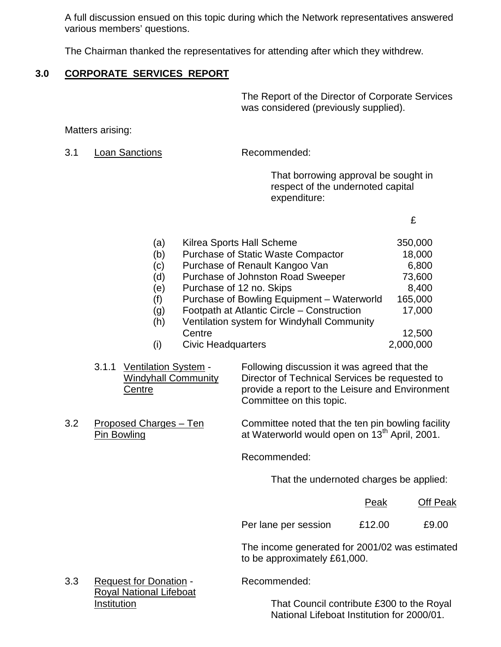A full discussion ensued on this topic during which the Network representatives answered various members' questions.

The Chairman thanked the representatives for attending after which they withdrew.

# **3.0 CORPORATE SERVICES REPORT**

The Report of the Director of Corporate Services was considered (previously supplied).

Matters arising:

3.1 Loan Sanctions Recommended:

That borrowing approval be sought in respect of the undernoted capital expenditure:

£

| (a) | Kilrea Sports Hall Scheme                  | 350,000   |
|-----|--------------------------------------------|-----------|
| (b) | <b>Purchase of Static Waste Compactor</b>  | 18,000    |
| (c) | Purchase of Renault Kangoo Van             | 6,800     |
| (d) | Purchase of Johnston Road Sweeper          | 73,600    |
| (e) | Purchase of 12 no. Skips                   | 8,400     |
| (f) | Purchase of Bowling Equipment - Waterworld | 165,000   |
| (g) | Footpath at Atlantic Circle - Construction | 17,000    |
| (h) | Ventilation system for Windyhall Community |           |
|     | Centre                                     | 12,500    |
| (i) | <b>Civic Headquarters</b>                  | 2,000,000 |

3.1.1 Ventilation System - Following discussion it was agreed that the Windyhall Community Director of Technical Services be requested to Centre **provide a report to the Leisure and Environment** Committee on this topic.

3.2 Proposed Charges – Ten Committee noted that the ten pin bowling facility Pin Bowling **Property** at Waterworld would open on 13<sup>th</sup> April, 2001.

Recommended:

That the undernoted charges be applied:

|                      | Peak   | <b>Off Peak</b> |
|----------------------|--------|-----------------|
| Per lane per session | £12.00 | £9.00           |

The income generated for 2001/02 was estimated to be approximately £61,000.

3.3 Request for Donation - Recommended: Royal National Lifeboat

Institution That Council contribute £300 to the Royal National Lifeboat Institution for 2000/01.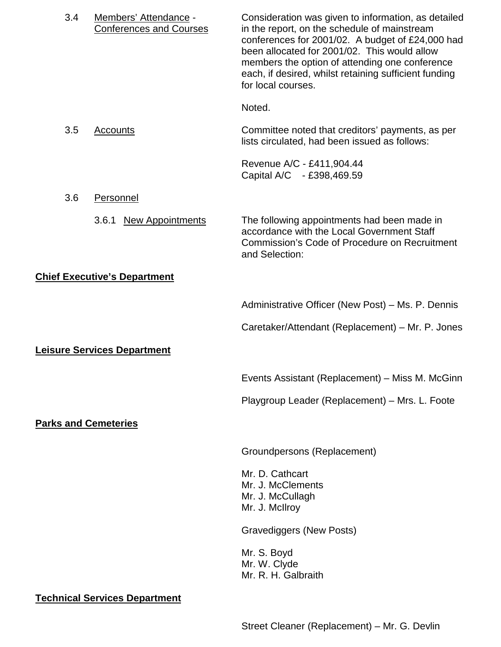| 3.4 | Members' Attendance -<br><b>Conferences and Courses</b> | Consideration was given to information, as detailed<br>in the report, on the schedule of mainstream<br>conferences for 2001/02. A budget of £24,000 had<br>been allocated for 2001/02. This would allow<br>members the option of attending one conference<br>each, if desired, whilst retaining sufficient funding<br>for local courses. |
|-----|---------------------------------------------------------|------------------------------------------------------------------------------------------------------------------------------------------------------------------------------------------------------------------------------------------------------------------------------------------------------------------------------------------|
|     |                                                         | Noted.                                                                                                                                                                                                                                                                                                                                   |
| 3.5 | <b>Accounts</b>                                         | Committee noted that creditors' payments, as per<br>lists circulated, had been issued as follows:                                                                                                                                                                                                                                        |
|     |                                                         | Revenue A/C - £411,904.44<br>Capital A/C - £398,469.59                                                                                                                                                                                                                                                                                   |
| 3.6 | Personnel                                               |                                                                                                                                                                                                                                                                                                                                          |
|     | <b>New Appointments</b><br>3.6.1                        | The following appointments had been made in<br>accordance with the Local Government Staff<br><b>Commission's Code of Procedure on Recruitment</b><br>and Selection:                                                                                                                                                                      |
|     | <b>Chief Executive's Department</b>                     |                                                                                                                                                                                                                                                                                                                                          |
|     |                                                         | Administrative Officer (New Post) – Ms. P. Dennis                                                                                                                                                                                                                                                                                        |
|     |                                                         | Caretaker/Attendant (Replacement) – Mr. P. Jones                                                                                                                                                                                                                                                                                         |
|     | <b>Leisure Services Department</b>                      |                                                                                                                                                                                                                                                                                                                                          |
|     |                                                         | Events Assistant (Replacement) – Miss M. McGinn                                                                                                                                                                                                                                                                                          |
|     |                                                         | Playgroup Leader (Replacement) - Mrs. L. Foote                                                                                                                                                                                                                                                                                           |
|     | <b>Parks and Cemeteries</b>                             |                                                                                                                                                                                                                                                                                                                                          |
|     |                                                         | Groundpersons (Replacement)                                                                                                                                                                                                                                                                                                              |
|     |                                                         | Mr. D. Cathcart<br>Mr. J. McClements<br>Mr. J. McCullagh<br>Mr. J. McIlroy                                                                                                                                                                                                                                                               |
|     |                                                         | <b>Gravediggers (New Posts)</b>                                                                                                                                                                                                                                                                                                          |
|     |                                                         | Mr. S. Boyd<br>Mr. W. Clyde<br>Mr. R. H. Galbraith                                                                                                                                                                                                                                                                                       |

**Technical Services Department**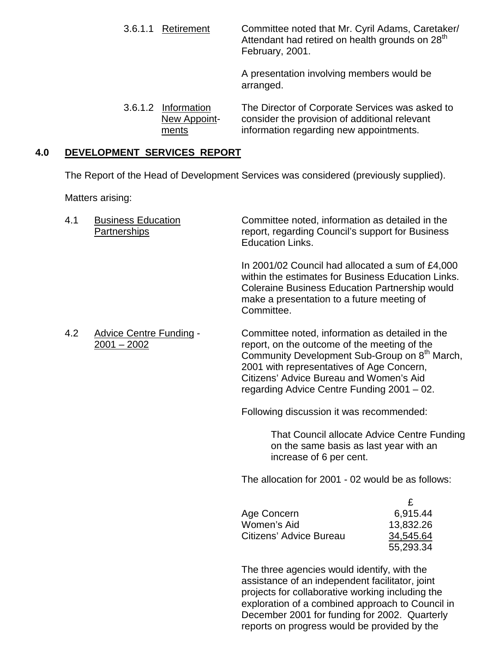3.6.1.1 Retirement Committee noted that Mr. Cyril Adams, Caretaker/ Attendant had retired on health grounds on 28<sup>th</sup> February, 2001.

A presentation involving members would be arranged.

3.6.1.2 Information The Director of Corporate Services was asked to New Appoint- consider the provision of additional relevant ments information regarding new appointments.

# **4.0 DEVELOPMENT SERVICES REPORT**

The Report of the Head of Development Services was considered (previously supplied).

Matters arising:

| 4.1 | <b>Business Education</b><br>Partnerships       | Committee noted, information as detailed in the<br>report, regarding Council's support for Business<br><b>Education Links.</b>                                                                                                                                                                     |                                                      |
|-----|-------------------------------------------------|----------------------------------------------------------------------------------------------------------------------------------------------------------------------------------------------------------------------------------------------------------------------------------------------------|------------------------------------------------------|
|     |                                                 | In 2001/02 Council had allocated a sum of £4,000<br>within the estimates for Business Education Links.<br><b>Coleraine Business Education Partnership would</b><br>make a presentation to a future meeting of<br>Committee.                                                                        |                                                      |
| 4.2 | <b>Advice Centre Funding -</b><br>$2001 - 2002$ | Committee noted, information as detailed in the<br>report, on the outcome of the meeting of the<br>Community Development Sub-Group on 8 <sup>th</sup> March,<br>2001 with representatives of Age Concern,<br>Citizens' Advice Bureau and Women's Aid<br>regarding Advice Centre Funding 2001 - 02. |                                                      |
|     |                                                 | Following discussion it was recommended:                                                                                                                                                                                                                                                           |                                                      |
|     |                                                 | That Council allocate Advice Centre Funding<br>on the same basis as last year with an<br>increase of 6 per cent.                                                                                                                                                                                   |                                                      |
|     |                                                 | The allocation for 2001 - 02 would be as follows:                                                                                                                                                                                                                                                  |                                                      |
|     |                                                 | Age Concern<br>Women's Aid<br>Citizens' Advice Bureau                                                                                                                                                                                                                                              | £<br>6,915.44<br>13,832.26<br>34,545.64<br>55,293.34 |
|     |                                                 | The three agencies would identify, with the<br>assistance of an independent facilitator, joint                                                                                                                                                                                                     |                                                      |

projects for collaborative working including the exploration of a combined approach to Council in December 2001 for funding for 2002. Quarterly reports on progress would be provided by the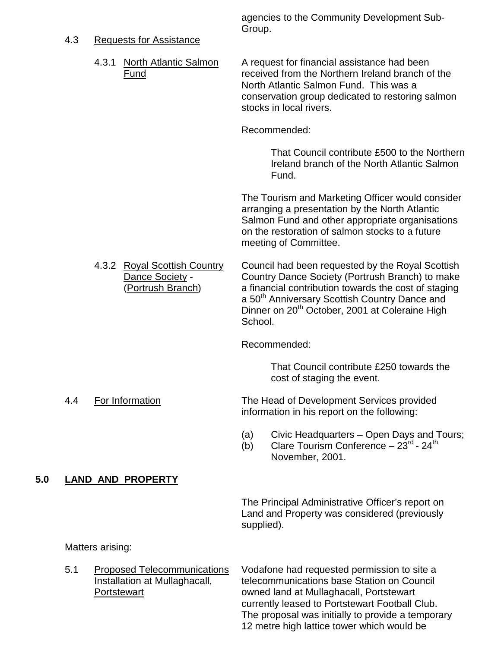#### 4.3 Requests for Assistance

agencies to the Community Development Sub-Group.

4.3.1 North Atlantic Salmon A request for financial assistance had been Fund received from the Northern Ireland branch of the North Atlantic Salmon Fund. This was a conservation group dedicated to restoring salmon stocks in local rivers.

Recommended:

That Council contribute £500 to the Northern Ireland branch of the North Atlantic Salmon Fund.

The Tourism and Marketing Officer would consider arranging a presentation by the North Atlantic Salmon Fund and other appropriate organisations on the restoration of salmon stocks to a future meeting of Committee.

4.3.2 Royal Scottish Country Council had been requested by the Royal Scottish Dance Society - Country Dance Society (Portrush Branch) to make (Portrush Branch) a financial contribution towards the cost of staging a 50<sup>th</sup> Anniversary Scottish Country Dance and Dinner on 20<sup>th</sup> October, 2001 at Coleraine High School.

Recommended:

That Council contribute £250 towards the cost of staging the event.

- 4.4 For Information The Head of Development Services provided information in his report on the following:
	- (a) Civic Headquarters Open Days and Tours;
	- (b) Clare Tourism Conference  $-23^{\text{rd}}$  24<sup>th</sup> November, 2001.

### **5.0 LAND AND PROPERTY**

The Principal Administrative Officer's report on Land and Property was considered (previously supplied).

Matters arising:

5.1 Proposed Telecommunications Vodafone had requested permission to site a Installation at Mullaghacall, telecommunications base Station on Council Portstewart **Portstewart** owned land at Mullaghacall, Portstewart currently leased to Portstewart Football Club. The proposal was initially to provide a temporary 12 metre high lattice tower which would be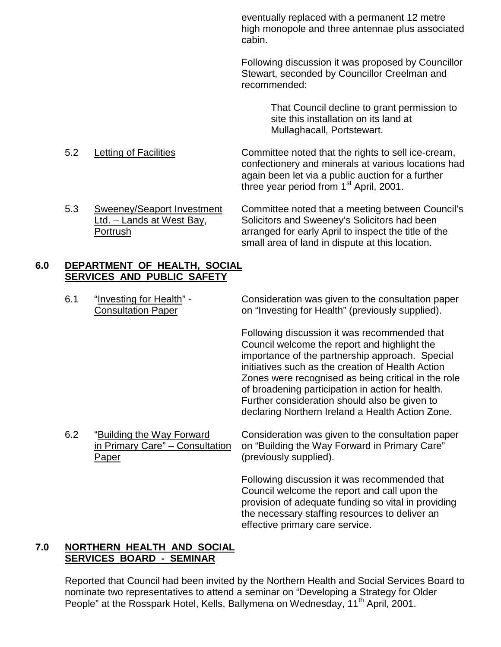eventually replaced with a permanent 12 metre high monopole and three antennae plus associated cabin.

Following discussion it was proposed by Councillor Stewart, seconded by Councillor Creelman and recommended:

> That Council decline to grant permission to site this installation on its land at Mullaghacall, Portstewart.

5.2 Letting of Facilities Committee noted that the rights to sell ice-cream, confectionery and minerals at various locations had again been let via a public auction for a further three year period from  $1<sup>st</sup>$  April, 2001.

5.3 Sweeney/Seaport Investment Committee noted that a meeting between Council's Ltd. – Lands at West Bay, Solicitors and Sweeney's Solicitors had been Portrush arranged for early April to inspect the title of the small area of land in dispute at this location.

# **6.0 DEPARTMENT OF HEALTH, SOCIAL SERVICES AND PUBLIC SAFETY**

6.1 "Investing for Health" - Consideration was given to the consultation paper Consultation Paper on "Investing for Health" (previously supplied).

> Following discussion it was recommended that Council welcome the report and highlight the importance of the partnership approach. Special initiatives such as the creation of Health Action Zones were recognised as being critical in the role of broadening participation in action for health. Further consideration should also be given to declaring Northern Ireland a Health Action Zone.

Paper (previously supplied).

6.2 "Building the Way Forward Consideration was given to the consultation paper in Primary Care" – Consultation on "Building the Way Forward in Primary Care"

> Following discussion it was recommended that Council welcome the report and call upon the provision of adequate funding so vital in providing the necessary staffing resources to deliver an effective primary care service.

### **7.0 NORTHERN HEALTH AND SOCIAL SERVICES BOARD - SEMINAR**

Reported that Council had been invited by the Northern Health and Social Services Board to nominate two representatives to attend a seminar on "Developing a Strategy for Older People" at the Rosspark Hotel, Kells, Ballymena on Wednesday, 11<sup>th</sup> April, 2001.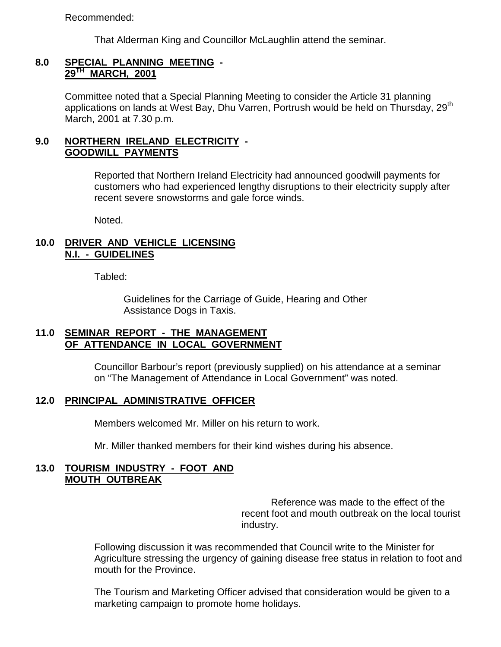Recommended:

That Alderman King and Councillor McLaughlin attend the seminar.

### **8.0 SPECIAL PLANNING MEETING - 29TH MARCH, 2001**

Committee noted that a Special Planning Meeting to consider the Article 31 planning applications on lands at West Bay, Dhu Varren, Portrush would be held on Thursday, 29<sup>th</sup> March, 2001 at 7.30 p.m.

# **9.0 NORTHERN IRELAND ELECTRICITY - GOODWILL PAYMENTS**

Reported that Northern Ireland Electricity had announced goodwill payments for customers who had experienced lengthy disruptions to their electricity supply after recent severe snowstorms and gale force winds.

Noted.

# **10.0 DRIVER AND VEHICLE LICENSING N.I. - GUIDELINES**

Tabled:

Guidelines for the Carriage of Guide, Hearing and Other Assistance Dogs in Taxis.

### **11.0 SEMINAR REPORT - THE MANAGEMENT OF ATTENDANCE IN LOCAL GOVERNMENT**

Councillor Barbour's report (previously supplied) on his attendance at a seminar on "The Management of Attendance in Local Government" was noted.

### **12.0 PRINCIPAL ADMINISTRATIVE OFFICER**

Members welcomed Mr. Miller on his return to work.

Mr. Miller thanked members for their kind wishes during his absence.

### **13.0 TOURISM INDUSTRY - FOOT AND MOUTH OUTBREAK**

Reference was made to the effect of the recent foot and mouth outbreak on the local tourist industry.

Following discussion it was recommended that Council write to the Minister for Agriculture stressing the urgency of gaining disease free status in relation to foot and mouth for the Province.

The Tourism and Marketing Officer advised that consideration would be given to a marketing campaign to promote home holidays.